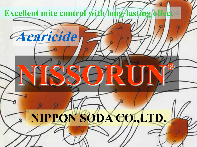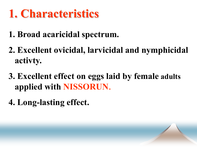# **1. Characteristics**

- **1. Broad acaricidal spectrum.**
- **2. Excellent ovicidal, larvicidal and nymphicidal activty.**
- **3. Excellent effect on eggs laid by female adults applied with NISSORUN**.
- **4. Long-lasting effect.**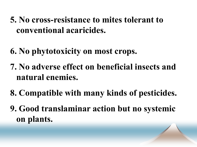- **5. No cross-resistance to mites tolerant to conventional acaricides.**
- **6. No phytotoxicity on most crops.**
- **7. No adverse effect on beneficial insects and natural enemies.**
- **8. Compatible with many kinds of pesticides.**
- **9. Good translaminar action but no systemic on plants.**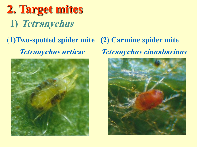# **2. Target mites 1) Tetranychus**

### **(1)Two-spotted spider mite (2) Carmine spider mite Tetranychus urticae**



# **Tetranychus cinnabarinus**

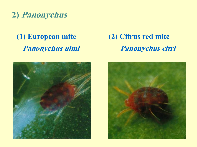#### **2) Panonychus**

#### **(1) European mite Panonychus ulmi**



#### **(2) Citrus red mite Panonychus citri**

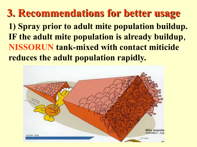**1) Spray prior to adult mite population buildup. IF the adult mite population is already buildup**, **NISSORUN tank-mixed with contact miticide reduces the adult population rapidly. 3. Recommendations for better usage**

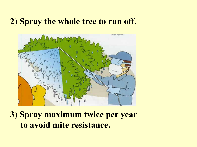#### **2) Spray the whole tree to run off.**



**3) Spray maximum twice per year to avoid mite resistance.**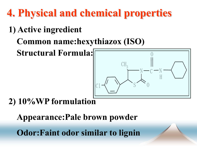**4. Physical and chemical properties**

- **1) Active ingredient**
	- **Common name:hexythiazox (ISO)**

**Structural Formula:**



## **2) 10%WP formulation**

**Appearance:Pale brown powder**

**Odor:Faint odor similar to lignin**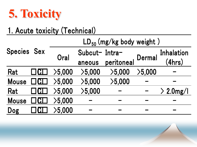

## 1. Acute toxicity (Technical)

| 1. Acute toxicity (Technical) |    |                               |               |               |        |                 |  |  |  |  |  |
|-------------------------------|----|-------------------------------|---------------|---------------|--------|-----------------|--|--|--|--|--|
|                               |    | $LD_{50}$ (mg/kg body weight) |               |               |        |                 |  |  |  |  |  |
| <b>Species Sex</b>            |    | Oral                          | Subcut-Intra- | <b>Dermal</b> |        | Inhalation      |  |  |  |  |  |
|                               |    |                               | aneous        | peritoneal    |        | (4hrs)          |  |  |  |  |  |
| Rat                           |    | $>$ 5,000 $\,$                | >5,000        | >5,000        | >5,000 |                 |  |  |  |  |  |
| <b>Mouse</b>                  | CI | >5,000                        | >5,000        | >5,000        |        |                 |  |  |  |  |  |
| Rat                           |    | >5.000                        | >5,000        |               |        | $\geq 2.0$ mg/l |  |  |  |  |  |
| <b>Mouse</b>                  | CI | >5,000                        |               |               |        |                 |  |  |  |  |  |
| Dog                           |    | $>$ 5,000 $\,$                |               |               |        |                 |  |  |  |  |  |
|                               |    |                               |               |               |        |                 |  |  |  |  |  |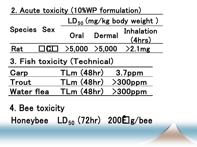| 2. Acute toxicity (10%WP formulation)<br>$LD_{50} (mg/kg body weight)$<br>Species Sex<br>Oral Dermal Inhalation<br>Rat $\Box \overline{\text{CL}} \rightarrow 5,000 \rightarrow 5,000 \rightarrow 2.1 \text{mg}$<br>3. Fish toxicity (Technical)<br>Carp TLm (48hr) 3.7ppm<br>Trout TLm (48hr) >300ppm<br>Water |  |  |  |
|-----------------------------------------------------------------------------------------------------------------------------------------------------------------------------------------------------------------------------------------------------------------------------------------------------------------|--|--|--|
|                                                                                                                                                                                                                                                                                                                 |  |  |  |
|                                                                                                                                                                                                                                                                                                                 |  |  |  |
|                                                                                                                                                                                                                                                                                                                 |  |  |  |
|                                                                                                                                                                                                                                                                                                                 |  |  |  |
|                                                                                                                                                                                                                                                                                                                 |  |  |  |
|                                                                                                                                                                                                                                                                                                                 |  |  |  |
|                                                                                                                                                                                                                                                                                                                 |  |  |  |
| 4. Bee toxicity<br>Honeybee $LD_{50}$ (72hr) 200 ${\bf \hat{E}}$ g/bee                                                                                                                                                                                                                                          |  |  |  |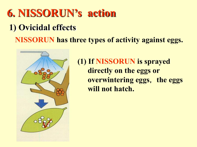## **6. NISSORUN's action 1) Ovicidal effects NISSORUN has three types of activity against eggs.**



**(1) If NISSORUN is sprayed directly on the eggs or overwintering eggs**, **the eggs will not hatch.**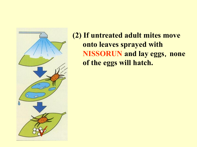

**(2) If untreated adult mites move onto leaves sprayed with NISSORUN** and lay eggs, none **of the eggs will hatch.**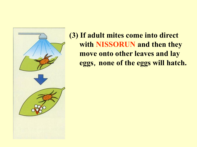

**(3) If adult mites come into direct with NISSORUN and then they move onto other leaves and lay eggs**,**none of the eggs will hatch.**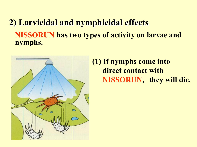#### **2) Larvicidal and nymphicidal effects NISSORUN has two types of activity on larvae and nymphs.**



#### **(1) If nymphs come into direct contact with NISSORUN**, **they will die.**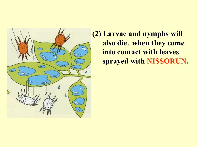

**(2) Larvae and nymphs will also die**,**when they come into contact with leaves sprayed with NISSORUN.**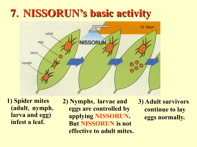## **7**.**NISSORUN's basic activity**



**1) Spider mites (adult**,**nymph**, **larva and egg) infest a leaf.**

**2) Nymphs**,**larvae and eggs are controlled by applying NISSORUN. But NISSORUN is not effective to adult mites.** **3) Adult survivors continue to lay eggs normally.**